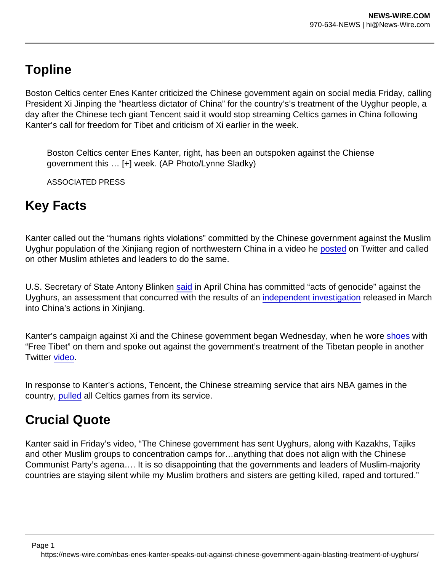## **Topline**

Boston Celtics center Enes Kanter criticized the Chinese government again on social media Friday, calling President Xi Jinping the "heartless dictator of China" for the country's's treatment of the Uyghur people, a day after the Chinese tech giant Tencent said it would stop streaming Celtics games in China following Kanter's call for freedom for Tibet and criticism of Xi earlier in the week.

Boston Celtics center Enes Kanter, right, has been an outspoken against the Chiense government this … [+] week. (AP Photo/Lynne Sladky)

ASSOCIATED PRESS

#### Key Facts

Kanter called out the "humans rights violations" committed by the Chinese government against the Muslim Uyghur population of the Xinjiang region of northwestern China in a video he [posted](https://twitter.com/EnesKanter/status/1451581224087134209) on Twitter and called on other Muslim athletes and leaders to do the same.

U.S. Secretary of State Antony Blinken [said](https://www.forbes.com/sites/jonathanponciano/2021/04/11/biden-secretary-of-state-condemns-chinas-acts-of-genocide-against-muslim-uyghurs/?sh=4503134850ca) in April China has committed "acts of genocide" against the Uyghurs, an assessment that concurred with the results of an [independent investigation](https://www.forbes.com/sites/jemimamcevoy/2021/03/09/first-independent-report-claims-clear-and-convincing-evidence-of-chinese-genocide-against-uighurs/?sh=237a37ded9a9) released in March into China's actions in Xinjiang.

Kanter's campaign against Xi and the Chinese government began Wednesday, when he wore [shoes](https://twitter.com/EnesKanter/status/1450963678413705224) with "Free Tibet" on them and spoke out against the government's treatment of the Tibetan people in another Twitter [video](https://twitter.com/EnesKanter/status/1450869180283203589?s=20).

In response to Kanter's actions, Tencent, the Chinese streaming service that airs NBA games in the country, [pulled](https://www.forbes.com/sites/masonbissada/2021/10/21/new-nba-china-controversy-tencent-drops-celtics-games-after-kanter-calls-jinping-brutal-dictator/?sh=5be470a92ad0) all Celtics games from its service.

### Crucial Quote

Kanter said in Friday's video, "The Chinese government has sent Uyghurs, along with Kazakhs, Tajiks and other Muslim groups to concentration camps for…anything that does not align with the Chinese Communist Party's agena…. It is so disappointing that the governments and leaders of Muslim-majority countries are staying silent while my Muslim brothers and sisters are getting killed, raped and tortured."

https://news-wire.com/nbas-enes-kanter-speaks-out-against-chinese-government-again-blasting-treatment-of-uyghurs/

Page 1